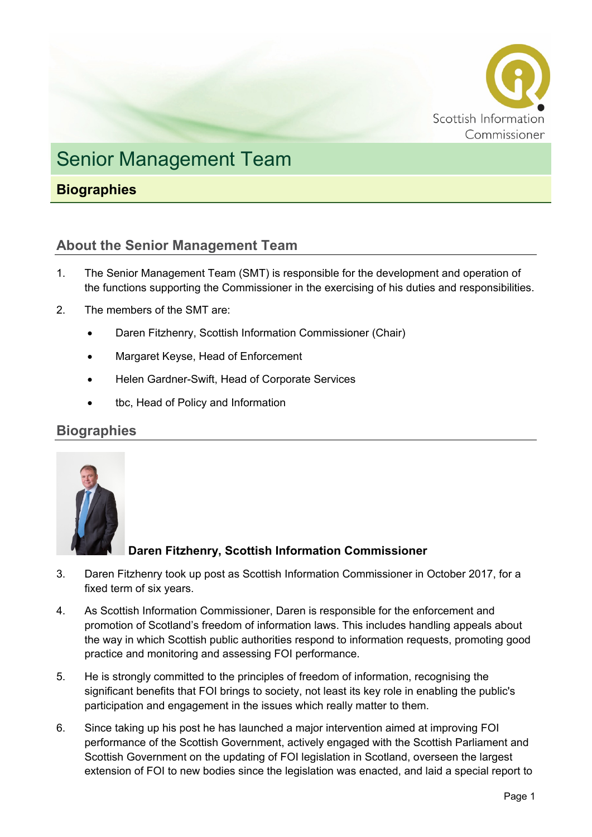

# Senior Management Team

## **Biographies**

### **About the Senior Management Team**

- 1. The Senior Management Team (SMT) is responsible for the development and operation of the functions supporting the Commissioner in the exercising of his duties and responsibilities.
- 2. The members of the SMT are:
	- Daren Fitzhenry, Scottish Information Commissioner (Chair)
	- Margaret Keyse, Head of Enforcement
	- Helen Gardner-Swift, Head of Corporate Services
	- tbc, Head of Policy and Information

#### **Biographies**



#### **Daren Fitzhenry, Scottish Information Commissioner**

- 3. Daren Fitzhenry took up post as Scottish Information Commissioner in October 2017, for a fixed term of six years.
- 4. As Scottish Information Commissioner, Daren is responsible for the enforcement and promotion of Scotland's freedom of information laws. This includes handling appeals about the way in which Scottish public authorities respond to information requests, promoting good practice and monitoring and assessing FOI performance.
- 5. He is strongly committed to the principles of freedom of information, recognising the significant benefits that FOI brings to society, not least its key role in enabling the public's participation and engagement in the issues which really matter to them.
- 6. Since taking up his post he has launched a major intervention aimed at improving FOI performance of the Scottish Government, actively engaged with the Scottish Parliament and Scottish Government on the updating of FOI legislation in Scotland, overseen the largest extension of FOI to new bodies since the legislation was enacted, and laid a special report to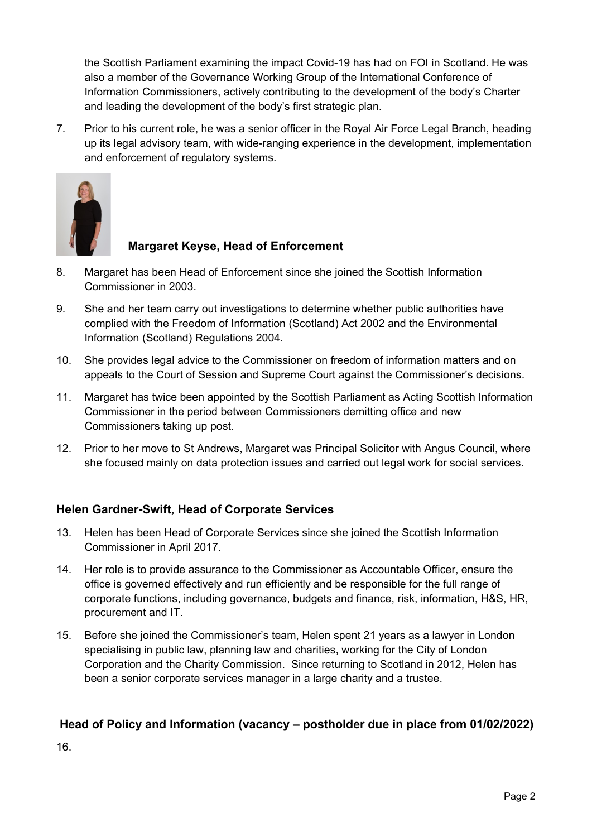the Scottish Parliament examining the impact Covid-19 has had on FOI in Scotland. He was also a member of the Governance Working Group of the International Conference of Information Commissioners, actively contributing to the development of the body's Charter and leading the development of the body's first strategic plan.

7. Prior to his current role, he was a senior officer in the Royal Air Force Legal Branch, heading up its legal advisory team, with wide-ranging experience in the development, implementation and enforcement of regulatory systems.



#### **Margaret Keyse, Head of Enforcement**

- 8. Margaret has been Head of Enforcement since she joined the Scottish Information Commissioner in 2003.
- 9. She and her team carry out investigations to determine whether public authorities have complied with the Freedom of Information (Scotland) Act 2002 and the Environmental Information (Scotland) Regulations 2004.
- 10. She provides legal advice to the Commissioner on freedom of information matters and on appeals to the Court of Session and Supreme Court against the Commissioner's decisions.
- 11. Margaret has twice been appointed by the Scottish Parliament as Acting Scottish Information Commissioner in the period between Commissioners demitting office and new Commissioners taking up post.
- 12. Prior to her move to St Andrews, Margaret was Principal Solicitor with Angus Council, where she focused mainly on data protection issues and carried out legal work for social services.

#### **Helen Gardner-Swift, Head of Corporate Services**

- 13. Helen has been Head of Corporate Services since she joined the Scottish Information Commissioner in April 2017.
- 14. Her role is to provide assurance to the Commissioner as Accountable Officer, ensure the office is governed effectively and run efficiently and be responsible for the full range of corporate functions, including governance, budgets and finance, risk, information, H&S, HR, procurement and IT.
- 15. Before she joined the Commissioner's team, Helen spent 21 years as a lawyer in London specialising in public law, planning law and charities, working for the City of London Corporation and the Charity Commission. Since returning to Scotland in 2012, Helen has been a senior corporate services manager in a large charity and a trustee.

#### **Head of Policy and Information (vacancy – postholder due in place from 01/02/2022)**

16.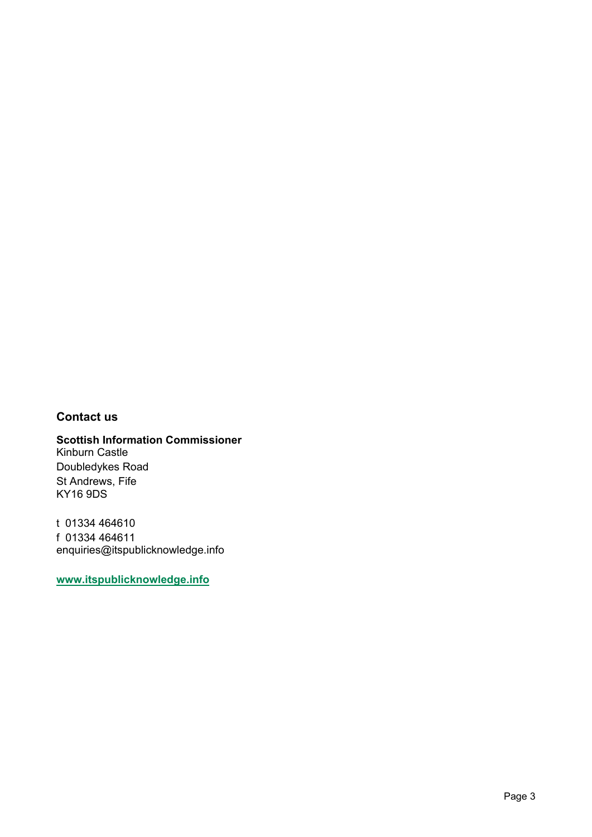#### **Contact us**

#### **Scottish Information Commissioner** Kinburn Castle Doubledykes Road St Andrews, Fife KY16 9DS

t 01334 464610 f 01334 464611 enquiries@itspublicknowledge.info

**[www.itspublicknowledge.info](http://www.itspublicknowledge.info/)**